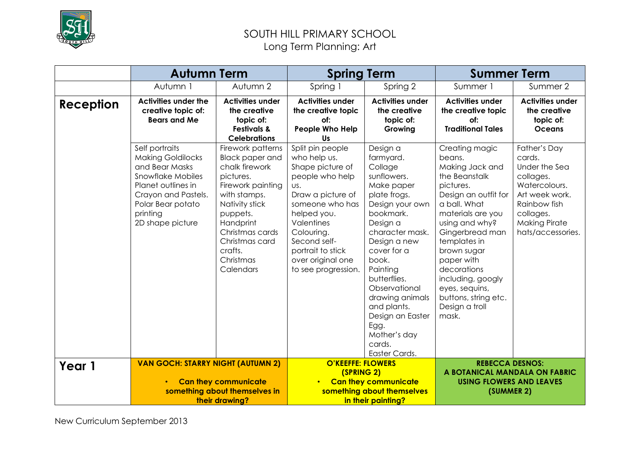

### SOUTH HILL PRIMARY SCHOOL Long Term Planning: Art

|                  | <b>Autumn Term</b>                                                                                                                                                                         |                                                                                                                                                                                                                                      | <b>Spring Term</b>                                                                                                                                                                                                                                 |                                                                                                                                                                                                                                                                                                                                            | <b>Summer Term</b>                                                                                                                                                                                                                                                                                                                |                                                                                                                                                                   |
|------------------|--------------------------------------------------------------------------------------------------------------------------------------------------------------------------------------------|--------------------------------------------------------------------------------------------------------------------------------------------------------------------------------------------------------------------------------------|----------------------------------------------------------------------------------------------------------------------------------------------------------------------------------------------------------------------------------------------------|--------------------------------------------------------------------------------------------------------------------------------------------------------------------------------------------------------------------------------------------------------------------------------------------------------------------------------------------|-----------------------------------------------------------------------------------------------------------------------------------------------------------------------------------------------------------------------------------------------------------------------------------------------------------------------------------|-------------------------------------------------------------------------------------------------------------------------------------------------------------------|
|                  | Autumn 1                                                                                                                                                                                   | Autumn 2                                                                                                                                                                                                                             | Spring 1                                                                                                                                                                                                                                           | Spring 2                                                                                                                                                                                                                                                                                                                                   | Summer 1                                                                                                                                                                                                                                                                                                                          | Summer 2                                                                                                                                                          |
| <b>Reception</b> | <b>Activities under the</b><br>creative topic of:<br><b>Bears and Me</b>                                                                                                                   | <b>Activities under</b><br>the creative<br>topic of:<br><b>Festivals &amp;</b><br><b>Celebrations</b>                                                                                                                                | <b>Activities under</b><br>the creative topic<br>of:<br>People Who Help<br>Us                                                                                                                                                                      | <b>Activities under</b><br>the creative<br>topic of:<br>Growing                                                                                                                                                                                                                                                                            | <b>Activities under</b><br>the creative topic<br>of:<br><b>Traditional Tales</b>                                                                                                                                                                                                                                                  | <b>Activities under</b><br>the creative<br>topic of:<br><b>Oceans</b>                                                                                             |
|                  | Self portraits<br><b>Making Goldilocks</b><br>and Bear Masks<br><b>Snowflake Mobiles</b><br>Planet outlines in<br>Crayon and Pastels.<br>Polar Bear potato<br>printing<br>2D shape picture | Firework patterns<br><b>Black paper and</b><br>chalk firework<br>pictures.<br>Firework painting<br>with stamps.<br>Nativity stick<br>puppets.<br>Handprint<br>Christmas cards<br>Christmas card<br>crafts.<br>Christmas<br>Calendars | Split pin people<br>who help us.<br>Shape picture of<br>people who help<br>US.<br>Draw a picture of<br>someone who has<br>helped you.<br>Valentines<br>Colouring.<br>Second self-<br>portrait to stick<br>over original one<br>to see progression. | Design a<br>farmyard.<br>Collage<br>sunflowers.<br>Make paper<br>plate frogs.<br>Design your own<br>bookmark.<br>Design a<br>character mask.<br>Design a new<br>cover for a<br>book.<br>Painting<br>butterflies.<br>Observational<br>drawing animals<br>and plants.<br>Design an Easter<br>Egg.<br>Mother's day<br>cards.<br>Easter Cards. | Creating magic<br>beans.<br>Making Jack and<br>the Beanstalk<br>pictures.<br>Design an outfit for<br>a ball. What<br>materials are you<br>using and why?<br>Gingerbread man<br>templates in<br>brown sugar<br>paper with<br>decorations<br>including, googly<br>eyes, sequins,<br>buttons, string etc.<br>Design a troll<br>mask. | Father's Day<br>cards.<br>Under the Sea<br>collages.<br>Watercolours.<br>Art week work.<br>Rainbow fish<br>collages.<br><b>Making Pirate</b><br>hats/accessories. |
| Year 1           | <b>VAN GOCH: STARRY NIGHT (AUTUMN 2)</b>                                                                                                                                                   |                                                                                                                                                                                                                                      | <b>O'KEEFFE: FLOWERS</b>                                                                                                                                                                                                                           |                                                                                                                                                                                                                                                                                                                                            | <b>REBECCA DESNOS:</b>                                                                                                                                                                                                                                                                                                            |                                                                                                                                                                   |
|                  |                                                                                                                                                                                            | <b>Can they communicate</b><br>something about themselves in<br>their drawing?                                                                                                                                                       | (SPRING 2)                                                                                                                                                                                                                                         | <b>Can they communicate</b><br>something about themselves<br>in their painting?                                                                                                                                                                                                                                                            | A BOTANICAL MANDALA ON FABRIC<br><b>USING FLOWERS AND LEAVES</b><br>(SUMMER 2)                                                                                                                                                                                                                                                    |                                                                                                                                                                   |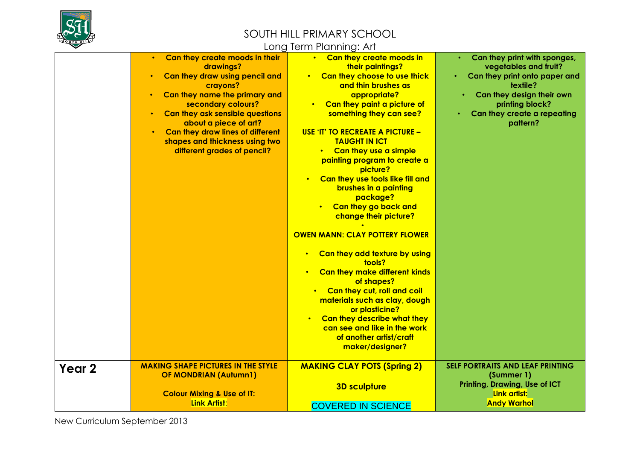

### Long Term Planning: Art

|                   |                                                                                                                                                                                                                                                                                                                                                                                           | LUITY TUTTITTI TUTTITTIY, 7 11 1                                                                                                                                                                                                                                                                                                                                                                                                                                                                                                                                                                                                                                                                                                                                                                                                          |                                                                                                                                                                                               |
|-------------------|-------------------------------------------------------------------------------------------------------------------------------------------------------------------------------------------------------------------------------------------------------------------------------------------------------------------------------------------------------------------------------------------|-------------------------------------------------------------------------------------------------------------------------------------------------------------------------------------------------------------------------------------------------------------------------------------------------------------------------------------------------------------------------------------------------------------------------------------------------------------------------------------------------------------------------------------------------------------------------------------------------------------------------------------------------------------------------------------------------------------------------------------------------------------------------------------------------------------------------------------------|-----------------------------------------------------------------------------------------------------------------------------------------------------------------------------------------------|
|                   | Can they create moods in their<br>$\bullet$<br>drawings?<br>Can they draw using pencil and<br>$\bullet$<br>crayons?<br>Can they name the primary and<br>$\bullet$<br>secondary colours?<br><b>Can they ask sensible questions</b><br>$\bullet$<br>about a piece of art?<br>Can they draw lines of different<br>$\bullet$<br>shapes and thickness using two<br>different grades of pencil? | • Can they create moods in<br>their paintings?<br>• Can they choose to use thick<br>and thin brushes as<br>appropriate?<br>Can they paint a picture of<br>something they can see?<br><b>USE 'IT' TO RECREATE A PICTURE -</b><br><b>TAUGHT IN ICT</b><br>Can they use a simple<br>painting program to create a<br>picture?<br>Can they use tools like fill and<br>$\bullet$<br>brushes in a painting<br>package?<br>Can they go back and<br>change their picture?<br><b>OWEN MANN: CLAY POTTERY FLOWER</b><br>Can they add texture by using<br>$\bullet$<br>tools?<br>Can they make different kinds<br>$\bullet$<br>of shapes?<br>Can they cut, roll and coil<br>materials such as clay, dough<br>or plasticine?<br>Can they describe what they<br>$\bullet$<br>can see and like in the work<br>of another artist/craft<br>maker/designer? | Can they print with sponges,<br>vegetables and fruit?<br>Can they print onto paper and<br>textile?<br>Can they design their own<br>printing block?<br>Can they create a repeating<br>pattern? |
| Year <sub>2</sub> | <b>MAKING SHAPE PICTURES IN THE STYLE</b><br><b>OF MONDRIAN (Autumn1)</b><br><b>Colour Mixing &amp; Use of IT:</b><br>Link Artist:                                                                                                                                                                                                                                                        | <b>MAKING CLAY POTS (Spring 2)</b><br><b>3D sculpture</b><br><b>COVERED IN SCIENCE</b>                                                                                                                                                                                                                                                                                                                                                                                                                                                                                                                                                                                                                                                                                                                                                    | SELF PORTRAITS AND LEAF PRINTING<br>(Summer 1)<br><b>Printing, Drawing, Use of ICT</b><br>Link artist:<br><b>Andy Warhol</b>                                                                  |
|                   |                                                                                                                                                                                                                                                                                                                                                                                           |                                                                                                                                                                                                                                                                                                                                                                                                                                                                                                                                                                                                                                                                                                                                                                                                                                           |                                                                                                                                                                                               |

New Curriculum September 2013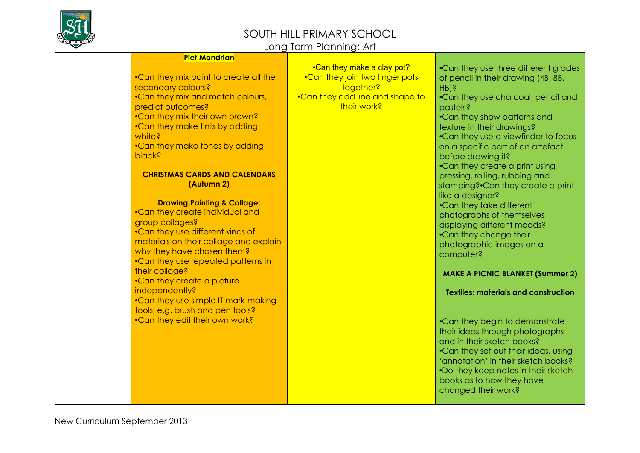

#### Long Term Planning: Art

| <b>Piet Mondrian</b> |
|----------------------|
|----------------------|

•Can they mix paint to create all the secondary colours? •Can they mix and match colours, predict outcomes? •Can they mix their own brown? •Can they make tints by adding white? •Can they make tones by adding black?

#### **CHRISTMAS CARDS AND CALENDARS (Autumn 2)**

#### **Drawing,Painting & Collage:**

•Can they create individual and group collages? •Can they use different kinds of materials on their collage and explain why they have chosen them? •Can they use repeated patterns in their collage? •Can they create a picture independently? •Can they use simple IT mark-making tools, e.g. brush and pen tools? •Can they edit their own work?

•Can they make a clay pot? •Can they join two finger pots together? •Can they add line and shape to their work?

•Can they use charcoal, pencil and pastels?

•Can they show patterns and texture in their drawings? •Can they use a viewfinder to focus on a specific part of an artefact before drawing it? •Can they create a print using pressing, rolling, rubbing and stamping?•Can they create a print like a desianer? •Can they take different photographs of themselves displaying different moods? •Can they change their

•Can they use three different grades of pencil in their drawing (4B, 8B,

HB)?

photographic images on a computer?

#### **MAKE A PICNIC BLANKET (Summer 2)**

**Textiles**: **materials and construction**

•Can they begin to demonstrate their ideas through photographs and in their sketch books? •Can they set out their ideas, using 'annotation' in their sketch books? •Do they keep notes in their sketch books as to how they have changed their work?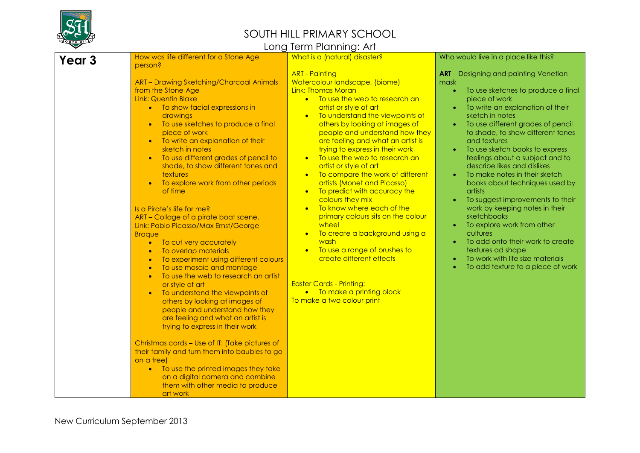

#### SOUTH HILL PRIMARY SCHOOL Long Term Planning: Art

| ▽      |                                                                                                                                                                                                                                                                                                                                                                                                                                                                                                                                                                                                                                                                                                                                                                                                                                                                                                                                                                                                                                                                                                                                                                                                                                                                                            | Long Term Planning: Art                                                                                                                                                                                                                                                                                                                                                                                                                                                                                                                                                                                                                                                                                                                                                                                                                                                                 |                                                                                                                                                                                                                                                                                                                                                                                                                                                                                                                                                                                                                                                                                                                                                        |
|--------|--------------------------------------------------------------------------------------------------------------------------------------------------------------------------------------------------------------------------------------------------------------------------------------------------------------------------------------------------------------------------------------------------------------------------------------------------------------------------------------------------------------------------------------------------------------------------------------------------------------------------------------------------------------------------------------------------------------------------------------------------------------------------------------------------------------------------------------------------------------------------------------------------------------------------------------------------------------------------------------------------------------------------------------------------------------------------------------------------------------------------------------------------------------------------------------------------------------------------------------------------------------------------------------------|-----------------------------------------------------------------------------------------------------------------------------------------------------------------------------------------------------------------------------------------------------------------------------------------------------------------------------------------------------------------------------------------------------------------------------------------------------------------------------------------------------------------------------------------------------------------------------------------------------------------------------------------------------------------------------------------------------------------------------------------------------------------------------------------------------------------------------------------------------------------------------------------|--------------------------------------------------------------------------------------------------------------------------------------------------------------------------------------------------------------------------------------------------------------------------------------------------------------------------------------------------------------------------------------------------------------------------------------------------------------------------------------------------------------------------------------------------------------------------------------------------------------------------------------------------------------------------------------------------------------------------------------------------------|
| Year 3 | How was life different for a Stone Age<br>person?                                                                                                                                                                                                                                                                                                                                                                                                                                                                                                                                                                                                                                                                                                                                                                                                                                                                                                                                                                                                                                                                                                                                                                                                                                          | What is a (natural) disaster?                                                                                                                                                                                                                                                                                                                                                                                                                                                                                                                                                                                                                                                                                                                                                                                                                                                           | Who would live in a place like this?                                                                                                                                                                                                                                                                                                                                                                                                                                                                                                                                                                                                                                                                                                                   |
|        | <b>ART - Drawing Sketching/Charcoal Animals</b><br>from the Stone Age<br><b>Link: Quentin Blake</b><br>• To show facial expressions in<br>drawings<br>To use sketches to produce a final<br>$\bullet$<br>piece of work<br>To write an explanation of their<br>$\bullet$<br>sketch in notes<br>To use different grades of pencil to<br>shade, to show different tones and<br>textures<br>To explore work from other periods<br>$\bullet$<br>of time<br>Is a Pirate's life for me?<br>ART - Collage of a pirate boat scene.<br>Link: Pablo Picasso/Max Ernst/George<br><b>Braque</b><br>To cut very accurately<br>$\bullet$<br>To overlap materials<br>$\bullet$<br>To experiment using different colours<br>$\bullet$<br>To use mosaic and montage<br>$\bullet$<br>To use the web to research an artist<br>$\bullet$<br>or style of art<br>To understand the viewpoints of<br>$\bullet$<br>others by looking at images of<br>people and understand how they<br>are feeling and what an artist is<br>trying to express in their work<br>Christmas cards - Use of IT: (Take pictures of<br>their family and turn them into baubles to go<br>on a tree)<br>To use the printed images they take<br>$\bullet$<br>on a digital camera and combine<br>them with other media to produce<br>art work | <b>ART - Painting</b><br>Watercolour landscape, (biome)<br>Link: Thomas Moran<br>• To use the web to research an<br>artist or style of art<br>To understand the viewpoints of<br>$\bullet$<br>others by looking at images of<br>people and understand how they<br>are feeling and what an artist is<br>trying to express in their work<br>To use the web to research an<br>$\bullet$<br>artist or style of art<br>To compare the work of different<br>$\bullet$<br>artists (Monet and Picasso)<br>To predict with accuracy the<br>$\bullet$<br>colours they mix<br>To know where each of the<br>$\bullet$<br>primary colours sits on the colour<br>wheel<br>To create a background using a<br>$\bullet$<br>wash<br>To use a range of brushes to<br>$\bullet$<br>create different effects<br><b>Easter Cards - Printing:</b><br>• To make a printing block<br>To make a two colour print | <b>ART</b> - Designing and painting Venetian<br>mask<br>$\bullet$<br>To use sketches to produce a final<br>piece of work<br>To write an explanation of their<br>sketch in notes<br>To use different grades of pencil<br>to shade, to show different tones<br>and textures<br>To use sketch books to express<br>feelings about a subject and to<br>describe likes and dislikes<br>To make notes in their sketch<br>$\bullet$<br>books about techniques used by<br>artists<br>To suggest improvements to their<br>work by keeping notes in their<br>sketchbooks<br>To explore work from other<br>cultures<br>To add onto their work to create<br>textures ad shape<br>To work with life size materials<br>$\bullet$<br>To add texture to a piece of work |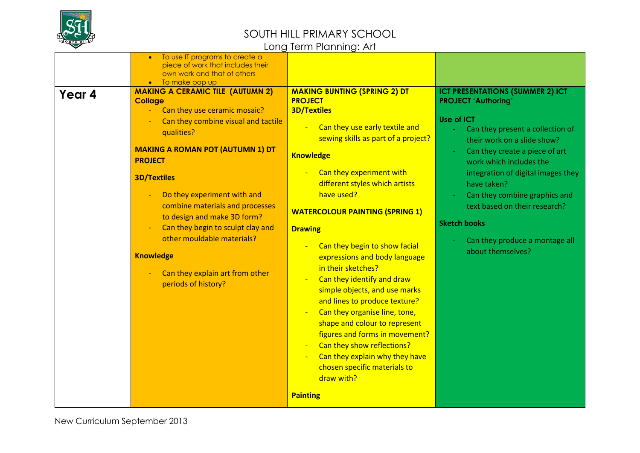

| Year 4 | To use IT programs to create a<br>piece of work that includes their<br>own work and that of others<br>To make pop up<br><b>MAKING A CERAMIC TILE (AUTUMN 2)</b><br><b>Collage</b>                                                                                                                                                                                                                                      | <b>MAKING BUNTING (SPRING 2) DT</b><br><b>PROJECT</b>                                                                                                                                                                                                                                                                                                                                                                                                                                                                                                                                                                                                                                | <b>ICT PRESENTATIONS (SUMMER 2) ICT</b><br><b>PROJECT 'Authoring'</b>                                                                                                                                                                                                                                                                                  |
|--------|------------------------------------------------------------------------------------------------------------------------------------------------------------------------------------------------------------------------------------------------------------------------------------------------------------------------------------------------------------------------------------------------------------------------|--------------------------------------------------------------------------------------------------------------------------------------------------------------------------------------------------------------------------------------------------------------------------------------------------------------------------------------------------------------------------------------------------------------------------------------------------------------------------------------------------------------------------------------------------------------------------------------------------------------------------------------------------------------------------------------|--------------------------------------------------------------------------------------------------------------------------------------------------------------------------------------------------------------------------------------------------------------------------------------------------------------------------------------------------------|
|        | Can they use ceramic mosaic?<br>Can they combine visual and tactile<br>qualities?<br><b>MAKING A ROMAN POT (AUTUMN 1) DT</b><br><b>PROJECT</b><br><b>3D/Textiles</b><br>Do they experiment with and<br>combine materials and processes<br>to design and make 3D form?<br>Can they begin to sculpt clay and<br>other mouldable materials?<br><b>Knowledge</b><br>Can they explain art from other<br>periods of history? | <b>3D/Textiles</b><br>Can they use early textile and<br>sewing skills as part of a project?<br><b>Knowledge</b><br>Can they experiment with<br>different styles which artists<br>have used?<br><b>WATERCOLOUR PAINTING (SPRING 1)</b><br><b>Drawing</b><br>Can they begin to show facial<br>expressions and body language<br>in their sketches?<br>Can they identify and draw<br>simple objects, and use marks<br>and lines to produce texture?<br>Can they organise line, tone,<br>shape and colour to represent<br>figures and forms in movement?<br>Can they show reflections?<br>Can they explain why they have<br>chosen specific materials to<br>draw with?<br><b>Painting</b> | <b>Use of ICT</b><br>Can they present a collection of<br>their work on a slide show?<br>Can they create a piece of art<br>work which includes the<br>integration of digital images they<br>have taken?<br>Can they combine graphics and<br>text based on their research?<br><b>Sketch books</b><br>Can they produce a montage all<br>about themselves? |
|        |                                                                                                                                                                                                                                                                                                                                                                                                                        |                                                                                                                                                                                                                                                                                                                                                                                                                                                                                                                                                                                                                                                                                      |                                                                                                                                                                                                                                                                                                                                                        |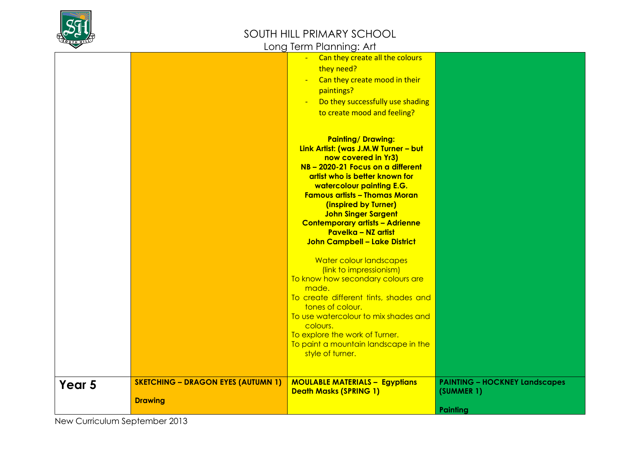

|        |                                           | <u>.</u>                                                                                                                                                                                                                                                                                                                                                        |                                                    |
|--------|-------------------------------------------|-----------------------------------------------------------------------------------------------------------------------------------------------------------------------------------------------------------------------------------------------------------------------------------------------------------------------------------------------------------------|----------------------------------------------------|
|        |                                           | Can they create all the colours<br>$\frac{1}{2}$<br>they need?<br>Can they create mood in their<br>$\blacksquare$<br>paintings?<br>Do they successfully use shading<br>$\sim$<br>to create mood and feeling?<br><b>Painting/Drawing:</b>                                                                                                                        |                                                    |
|        |                                           | Link Artist: (was J.M.W Turner - but<br>now covered in Yr3)<br>NB - 2020-21 Focus on a different<br>artist who is better known for<br>watercolour painting E.G.<br><b>Famous artists - Thomas Moran</b><br>(inspired by Turner)<br><b>John Singer Sargent</b><br><b>Contemporary artists - Adrienne</b><br>Pavelka - NZ artist<br>John Campbell - Lake District |                                                    |
|        |                                           | Water colour landscapes<br>(link to impressionism)<br>To know how secondary colours are<br>made.<br>To create different tints, shades and<br>tones of colour.<br>To use watercolour to mix shades and<br>colours.<br>To explore the work of Turner.<br>To paint a mountain landscape in the<br>style of turner.                                                 |                                                    |
| Year 5 | <b>SKETCHING - DRAGON EYES (AUTUMN 1)</b> | <b>MOULABLE MATERIALS - Egyptians</b><br><b>Death Masks (SPRING 1)</b>                                                                                                                                                                                                                                                                                          | <b>PAINTING - HOCKNEY Landscapes</b><br>(SUMMER 1) |
|        | <b>Drawing</b>                            |                                                                                                                                                                                                                                                                                                                                                                 | Painting                                           |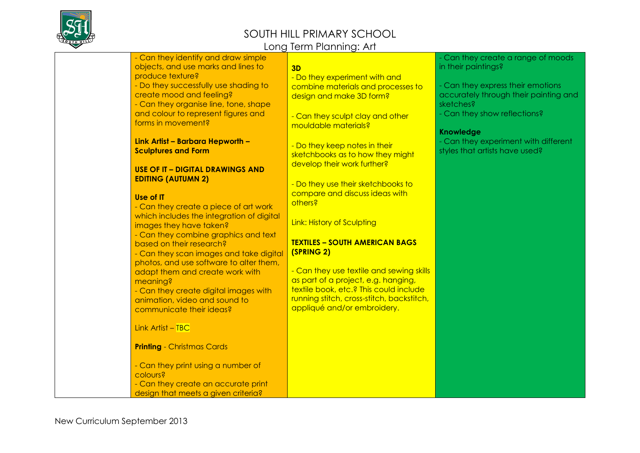

|                                                                 | LUNG TUNNI KINING. AT                     |                                       |
|-----------------------------------------------------------------|-------------------------------------------|---------------------------------------|
| - Can they identify and draw simple                             |                                           | - Can they create a range of moods    |
| objects, and use marks and lines to                             | 3D                                        | in their paintings?                   |
| produce texture?                                                | - Do they experiment with and             |                                       |
| - Do they successfully use shading to                           | combine materials and processes to        | - Can they express their emotions     |
| create mood and feeling?                                        | design and make 3D form?                  | accurately through their painting and |
| - Can they organise line, tone, shape                           |                                           | sketches?                             |
| and colour to represent figures and                             | - Can they sculpt clay and other          | - Can they show reflections?          |
| forms in movement?                                              | mouldable materials?                      |                                       |
|                                                                 |                                           | <b>Knowledge</b>                      |
| Link Artist - Barbara Hepworth -                                | - Do they keep notes in their             | - Can they experiment with different  |
| <b>Sculptures and Form</b>                                      | sketchbooks as to how they might          | styles that artists have used?        |
|                                                                 | develop their work further?               |                                       |
| <b>USE OF IT - DIGITAL DRAWINGS AND</b>                         |                                           |                                       |
| <b>EDITING (AUTUMN 2)</b>                                       | - Do they use their sketchbooks to        |                                       |
|                                                                 | compare and discuss ideas with            |                                       |
| Use of IT                                                       | others?                                   |                                       |
| - Can they create a piece of art work                           |                                           |                                       |
| which includes the integration of digital                       | Link: History of Sculpting                |                                       |
| images they have taken?<br>- Can they combine graphics and text |                                           |                                       |
| based on their research?                                        | <b>TEXTILES - SOUTH AMERICAN BAGS</b>     |                                       |
| - Can they scan images and take digital                         | (SPRING 2)                                |                                       |
| photos, and use software to alter them,                         |                                           |                                       |
| adapt them and create work with                                 | - Can they use textile and sewing skills  |                                       |
| meaning?                                                        | as part of a project, e.g. hanging,       |                                       |
| - Can they create digital images with                           | textile book, etc.? This could include    |                                       |
| animation, video and sound to                                   | running stitch, cross-stitch, backstitch, |                                       |
| communicate their ideas?                                        | appliqué and/or embroidery.               |                                       |
|                                                                 |                                           |                                       |
| Link Artist $-$ TBC                                             |                                           |                                       |
|                                                                 |                                           |                                       |
| <b>Printing - Christmas Cards</b>                               |                                           |                                       |
|                                                                 |                                           |                                       |
| - Can they print using a number of                              |                                           |                                       |
| colours?                                                        |                                           |                                       |
| - Can they create an accurate print                             |                                           |                                       |
| design that meets a given criteria?                             |                                           |                                       |
|                                                                 |                                           |                                       |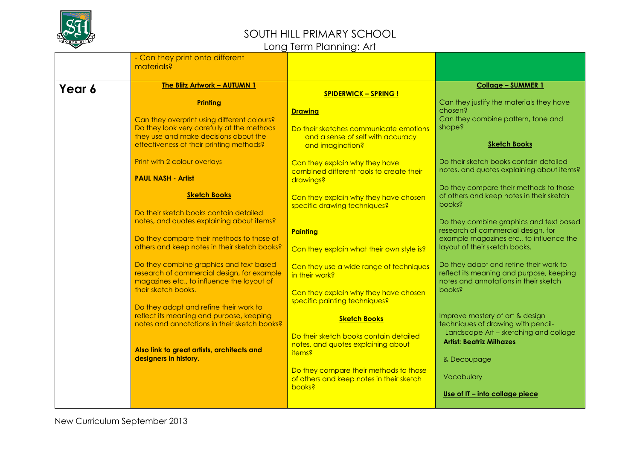

|        | - Can they print onto different              |                                           |                                                    |
|--------|----------------------------------------------|-------------------------------------------|----------------------------------------------------|
|        | materials?                                   |                                           |                                                    |
|        |                                              |                                           |                                                    |
| Year 6 | <b>The Blitz Artwork - AUTUMN 1</b>          |                                           | <b>Collage - SUMMER 1</b>                          |
|        | <b>Printing</b>                              | <b>SPIDERWICK - SPRING!</b>               | Can they justify the materials they have           |
|        |                                              | <b>Drawing</b>                            | chosen?                                            |
|        | Can they overprint using different colours?  |                                           | Can they combine pattern, tone and                 |
|        | Do they look very carefully at the methods   | Do their sketches communicate emotions    | shape?                                             |
|        | they use and make decisions about the        | and a sense of self with accuracy         |                                                    |
|        | effectiveness of their printing methods?     | and imagination?                          | <b>Sketch Books</b>                                |
|        | Print with 2 colour overlays                 | Can they explain why they have            | Do their sketch books contain detailed.            |
|        |                                              | combined different tools to create their  | notes, and quotes explaining about items?          |
|        | <b>PAUL NASH - Artist</b>                    | drawings?                                 |                                                    |
|        |                                              |                                           | Do they compare their methods to those             |
|        | <b>Sketch Books</b>                          | Can they explain why they have chosen     | of others and keep notes in their sketch<br>books? |
|        | Do their sketch books contain detailed       | specific drawing techniques?              |                                                    |
|        | notes, and quotes explaining about items?    |                                           | Do they combine graphics and text based            |
|        |                                              | Painting                                  | research of commercial design, for                 |
|        | Do they compare their methods to those of    |                                           | example magazines etc., to influence the           |
|        | others and keep notes in their sketch books? | Can they explain what their own style is? | layout of their sketch books.                      |
|        | Do they combine graphics and text based      | Can they use a wide range of techniques   | Do they adapt and refine their work to             |
|        | research of commercial design, for example   | in their work?                            | reflect its meaning and purpose, keeping           |
|        | magazines etc., to influence the layout of   |                                           | notes and annotations in their sketch              |
|        | their sketch books.                          | Can they explain why they have chosen     | books?                                             |
|        | Do they adapt and refine their work to       | specific painting techniques?             |                                                    |
|        | reflect its meaning and purpose, keeping     | <b>Sketch Books</b>                       | Improve mastery of art & design                    |
|        | notes and annotations in their sketch books? |                                           | techniques of drawing with pencil-                 |
|        |                                              | Do their sketch books contain detailed    | Landscape Art - sketching and collage              |
|        | Also link to great artists, architects and   | notes, and quotes explaining about        | <b>Artist: Beatriz Milhazes</b>                    |
|        | designers in history.                        | <i>items?</i>                             | & Decoupage                                        |
|        |                                              | Do they compare their methods to those    |                                                    |
|        |                                              | of others and keep notes in their sketch  | Vocabulary                                         |
|        |                                              | <b>books?</b>                             |                                                    |
|        |                                              |                                           | Use of IT - into collage piece                     |
|        |                                              |                                           |                                                    |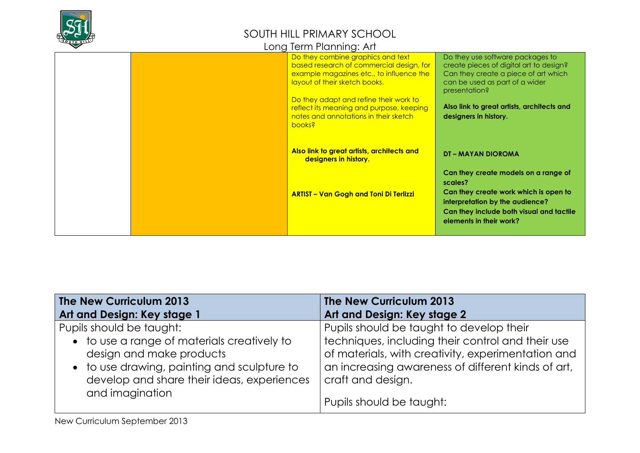

|  | Long Term Planning: Art |  |
|--|-------------------------|--|
|  |                         |  |

|  | Do they combine graphics and text<br>based research of commercial design, for<br>example magazines etc., to influence the<br>layout of their sketch books.<br>Do they adapt and refine their work to<br>reflect its meaning and purpose, keeping<br>notes and annotations in their sketch<br>books? | Do they use software packages to<br>create pieces of digital art to design?<br>Can they create a piece of art which<br>can be used as part of a wider<br>presentation?<br>Also link to great artists, architects and<br>designers in history. |
|--|-----------------------------------------------------------------------------------------------------------------------------------------------------------------------------------------------------------------------------------------------------------------------------------------------------|-----------------------------------------------------------------------------------------------------------------------------------------------------------------------------------------------------------------------------------------------|
|  | Also link to great artists, architects and<br>designers in history.                                                                                                                                                                                                                                 | <b>DT – MAYAN DIOROMA</b>                                                                                                                                                                                                                     |
|  | <b>ARTIST - Van Gogh and Toni Di Terlizzi</b>                                                                                                                                                                                                                                                       | Can they create models on a range of<br>scales?<br>Can they create work which is open to<br>interpretation by the audience?<br>Can they include both visual and tactile<br>elements in their work?                                            |

| The New Curriculum 2013                                                                                                                                                                                             | The New Curriculum 2013                                                                                                                                                                                                                                    |
|---------------------------------------------------------------------------------------------------------------------------------------------------------------------------------------------------------------------|------------------------------------------------------------------------------------------------------------------------------------------------------------------------------------------------------------------------------------------------------------|
| Art and Design: Key stage 1                                                                                                                                                                                         | Art and Design: Key stage 2                                                                                                                                                                                                                                |
| Pupils should be taught:<br>• to use a range of materials creatively to<br>design and make products<br>• to use drawing, painting and sculpture to<br>develop and share their ideas, experiences<br>and imagination | Pupils should be taught to develop their<br>techniques, including their control and their use<br>of materials, with creativity, experimentation and<br>an increasing awareness of different kinds of art,<br>craft and design.<br>Pupils should be taught: |